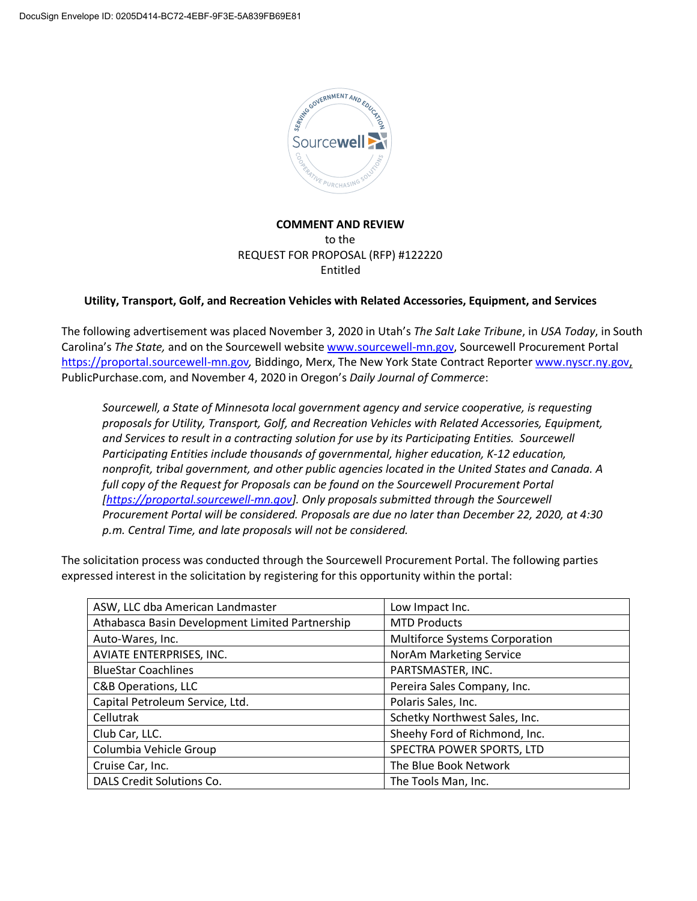

**COMMENT AND REVIEW** to the REQUEST FOR PROPOSAL (RFP) #122220 Entitled

## **Utility, Transport, Golf, and Recreation Vehicles with Related Accessories, Equipment, and Services**

The following advertisement was placed November 3, 2020 in Utah's *The Salt Lake Tribune*, in *USA Today*, in South Carolina's *The State,* and on the Sourcewell website www.sourcewell-mn.gov, Sourcewell Procurement Portal https://proportal.sourcewell-mn.gov*,* Biddingo, Merx, The New York State Contract Reporter www.nyscr.ny.gov, PublicPurchase.com, and November 4, 2020 in Oregon's *Daily Journal of Commerce*:

*Sourcewell, a State of Minnesota local government agency and service cooperative, is requesting proposals for Utility, Transport, Golf, and Recreation Vehicles with Related Accessories, Equipment, and Services to result in a contracting solution for use by its Participating Entities. Sourcewell Participating Entities include thousands of governmental, higher education, K-12 education, nonprofit, tribal government, and other public agencies located in the United States and Canada. A full copy of the Request for Proposals can be found on the Sourcewell Procurement Portal [https://proportal.sourcewell-mn.gov]. Only proposals submitted through the Sourcewell Procurement Portal will be considered. Proposals are due no later than December 22, 2020, at 4:30 p.m. Central Time, and late proposals will not be considered.*

The solicitation process was conducted through the Sourcewell Procurement Portal. The following parties expressed interest in the solicitation by registering for this opportunity within the portal:

| ASW, LLC dba American Landmaster                | Low Impact Inc.                       |  |
|-------------------------------------------------|---------------------------------------|--|
| Athabasca Basin Development Limited Partnership | <b>MTD Products</b>                   |  |
| Auto-Wares, Inc.                                | <b>Multiforce Systems Corporation</b> |  |
| AVIATE ENTERPRISES, INC.                        | NorAm Marketing Service               |  |
| <b>BlueStar Coachlines</b>                      | PARTSMASTER, INC.                     |  |
| <b>C&amp;B Operations, LLC</b>                  | Pereira Sales Company, Inc.           |  |
| Capital Petroleum Service, Ltd.                 | Polaris Sales, Inc.                   |  |
| Cellutrak                                       | Schetky Northwest Sales, Inc.         |  |
| Club Car, LLC.                                  | Sheehy Ford of Richmond, Inc.         |  |
| Columbia Vehicle Group                          | SPECTRA POWER SPORTS, LTD             |  |
| Cruise Car, Inc.                                | The Blue Book Network                 |  |
| DALS Credit Solutions Co.                       | The Tools Man, Inc.                   |  |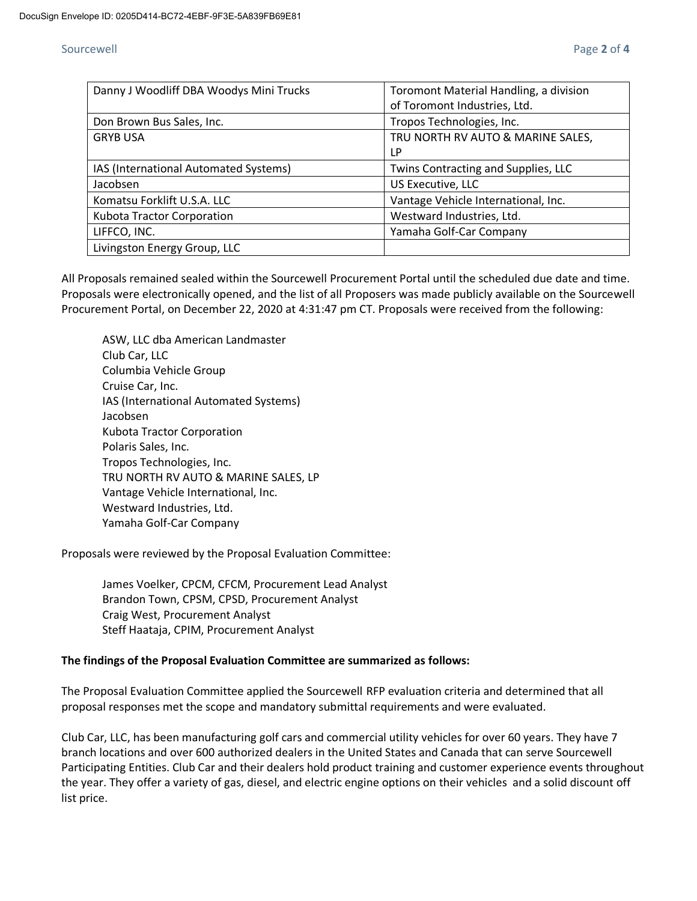## Sourcewell Page **2** of **4**

| Danny J Woodliff DBA Woodys Mini Trucks | Toromont Material Handling, a division |
|-----------------------------------------|----------------------------------------|
|                                         | of Toromont Industries, Ltd.           |
| Don Brown Bus Sales, Inc.               | Tropos Technologies, Inc.              |
| <b>GRYB USA</b>                         | TRU NORTH RV AUTO & MARINE SALES,      |
|                                         | LP                                     |
| IAS (International Automated Systems)   | Twins Contracting and Supplies, LLC    |
| Jacobsen                                | US Executive, LLC                      |
| Komatsu Forklift U.S.A. LLC             | Vantage Vehicle International, Inc.    |
| Kubota Tractor Corporation              | Westward Industries, Ltd.              |
| LIFFCO, INC.                            | Yamaha Golf-Car Company                |
| Livingston Energy Group, LLC            |                                        |

All Proposals remained sealed within the Sourcewell Procurement Portal until the scheduled due date and time. Proposals were electronically opened, and the list of all Proposers was made publicly available on the Sourcewell Procurement Portal, on December 22, 2020 at 4:31:47 pm CT. Proposals were received from the following:

ASW, LLC dba American Landmaster Club Car, LLC Columbia Vehicle Group Cruise Car, Inc. IAS (International Automated Systems) Jacobsen Kubota Tractor Corporation Polaris Sales, Inc. Tropos Technologies, Inc. TRU NORTH RV AUTO & MARINE SALES, LP Vantage Vehicle International, Inc. Westward Industries, Ltd. Yamaha Golf-Car Company

Proposals were reviewed by the Proposal Evaluation Committee:

James Voelker, CPCM, CFCM, Procurement Lead Analyst Brandon Town, CPSM, CPSD, Procurement Analyst Craig West, Procurement Analyst Steff Haataja, CPIM, Procurement Analyst

## **The findings of the Proposal Evaluation Committee are summarized as follows:**

The Proposal Evaluation Committee applied the Sourcewell RFP evaluation criteria and determined that all proposal responses met the scope and mandatory submittal requirements and were evaluated.

Club Car, LLC, has been manufacturing golf cars and commercial utility vehicles for over 60 years. They have 7 branch locations and over 600 authorized dealers in the United States and Canada that can serve Sourcewell Participating Entities. Club Car and their dealers hold product training and customer experience events throughout the year. They offer a variety of gas, diesel, and electric engine options on their vehicles and a solid discount off list price.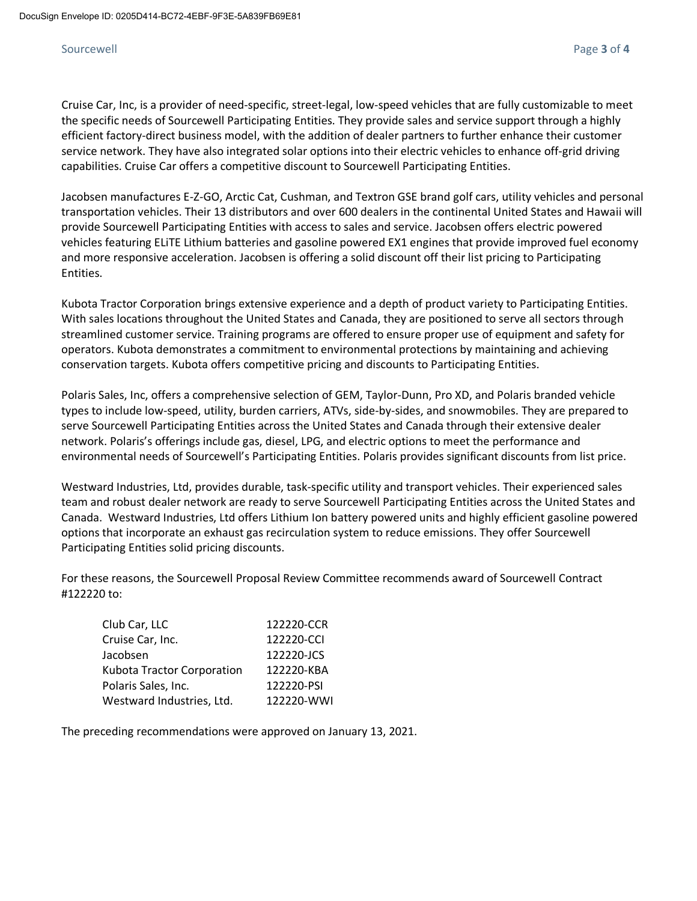# Sourcewell Page **3** of **4**

Cruise Car, Inc, is a provider of need-specific, street-legal, low-speed vehicles that are fully customizable to meet the specific needs of Sourcewell Participating Entities. They provide sales and service support through a highly efficient factory-direct business model, with the addition of dealer partners to further enhance their customer service network. They have also integrated solar options into their electric vehicles to enhance off-grid driving capabilities. Cruise Car offers a competitive discount to Sourcewell Participating Entities.

Jacobsen manufactures E-Z-GO, Arctic Cat, Cushman, and Textron GSE brand golf cars, utility vehicles and personal transportation vehicles. Their 13 distributors and over 600 dealers in the continental United States and Hawaii will provide Sourcewell Participating Entities with access to sales and service. Jacobsen offers electric powered vehicles featuring ELiTE Lithium batteries and gasoline powered EX1 engines that provide improved fuel economy and more responsive acceleration. Jacobsen is offering a solid discount off their list pricing to Participating Entities.

Kubota Tractor Corporation brings extensive experience and a depth of product variety to Participating Entities. With sales locations throughout the United States and Canada, they are positioned to serve all sectors through streamlined customer service. Training programs are offered to ensure proper use of equipment and safety for operators. Kubota demonstrates a commitment to environmental protections by maintaining and achieving conservation targets. Kubota offers competitive pricing and discounts to Participating Entities.

Polaris Sales, Inc, offers a comprehensive selection of GEM, Taylor-Dunn, Pro XD, and Polaris branded vehicle types to include low-speed, utility, burden carriers, ATVs, side-by-sides, and snowmobiles. They are prepared to serve Sourcewell Participating Entities across the United States and Canada through their extensive dealer network. Polaris's offerings include gas, diesel, LPG, and electric options to meet the performance and environmental needs of Sourcewell's Participating Entities. Polaris provides significant discounts from list price.

Westward Industries, Ltd, provides durable, task-specific utility and transport vehicles. Their experienced sales team and robust dealer network are ready to serve Sourcewell Participating Entities across the United States and Canada. Westward Industries, Ltd offers Lithium Ion battery powered units and highly efficient gasoline powered options that incorporate an exhaust gas recirculation system to reduce emissions. They offer Sourcewell Participating Entities solid pricing discounts.

For these reasons, the Sourcewell Proposal Review Committee recommends award of Sourcewell Contract #122220 to:

| Club Car, LLC              | 122220-CCR |
|----------------------------|------------|
| Cruise Car, Inc.           | 122220-CCI |
| Jacobsen                   | 122220-JCS |
| Kubota Tractor Corporation | 122220-KBA |
| Polaris Sales, Inc.        | 122220-PSI |
| Westward Industries, Ltd.  | 122220-WWI |

The preceding recommendations were approved on January 13, 2021.